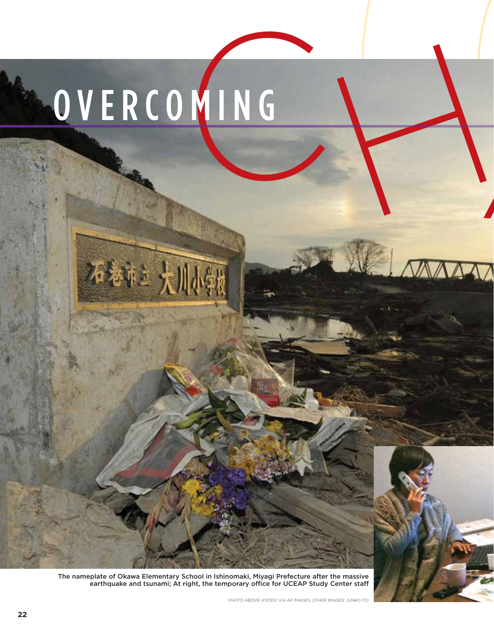# OVERCOMING

石谷市土大

The nameplate of Okawa Elementary School in Ishinomaki, Miyagi Prefecture after the massive earthquake and tsunami; At right, the temporary office for UCEAP Study Center staff

Photo above: Kyodo via AP Images; other images: Junko Ito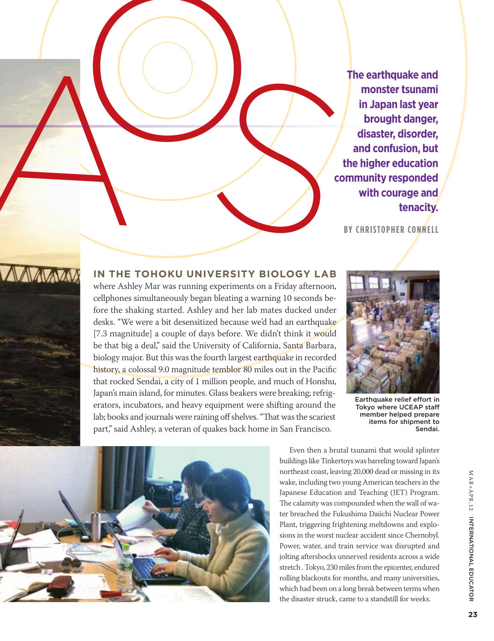**The earthquake and monster tsunami in Japan last year brought danger, disaster, disorder, and confusion, but the higher education community responded with courage and**  The earthquake and<br>
monster tsunami<br>
in Japan last year<br>
olight danger<br>
disaster, disorder,<br>
and confusion, but<br>
the higher education<br>
with courage and<br>
tenacity.<br>
BY CHESTOPHER CONNELL



# **In the Tohoku University biology lab**

where Ashley Mar was running experiments on a Friday afternoon, cellphones simultaneously began bleating a warning 10 seconds before the shaking started. Ashley and her lab mates ducked under desks. "We were a bit desensitized because we'd had an earthquake [7.3 magnitude] a couple of days before. We didn't think it would be that big a deal," said the University of California, Santa Barbara, biology major. But this was the fourth largest earthquake in recorded history, a colossal 9.0 magnitude temblor 80 miles out in the Pacific that rocked Sendai, a city of 1 million people, and much of Honshu, Japan's main island, for minutes. Glass beakers were breaking; refrigerators, incubators, and heavy equipment were shifting around the lab; books and journals were raining off shelves. "That was the scariest part," said Ashley, a veteran of quakes back home in San Francisco.



Earthquake relief effort in Tokyo where UCEAP staff member helped prepare items for shipment to Sendai.



Even then a brutal tsunami that would splinter buildings like Tinkertoys was barreling toward Japan's northeast coast, leaving 20,000 dead or missing in its wake, including two young American teachers in the Japanese Education and Teaching (JET) Program. The calamity was compounded when the wall of water breached the Fukushima Daiichi Nuclear Power Plant, triggering frightening meltdowns and explosions in the worst nuclear accident since Chernobyl. Power, water, and train service was disrupted and jolting aftershocks unnerved residents across a wide stretch . Tokyo, 230 miles from the epicenter, endured rolling blackouts for months, and many universities, which had been on a long break between terms when the disaster struck, came to a standstill for weeks.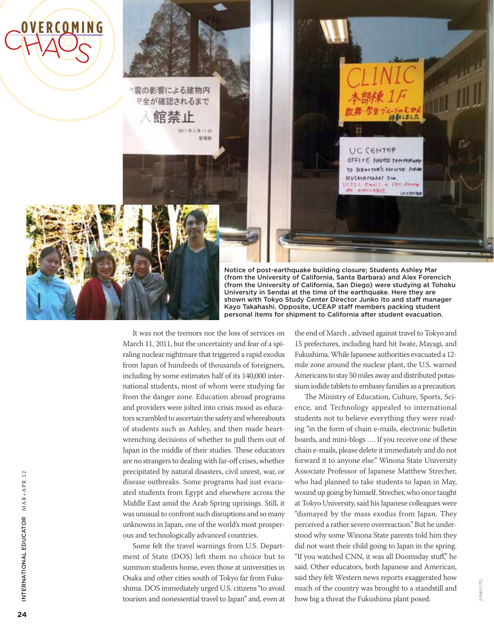

It was not the tremors nor the loss of services on March 11, 2011, but the uncertainty and fear of a spiraling nuclear nightmare that triggered a rapid exodus from Japan of hundreds of thousands of foreigners, including by some estimates half of its 140,000 international students, most of whom were studying far from the danger zone. Education abroad programs and providers were jolted into crisis mood as educators scrambled to ascertain the safety and whereabouts of students such as Ashley, and then made heartwrenching decisions of whether to pull them out of Japan in the middle of their studies. These educators are no strangers to dealing with far-off crises, whether precipitated by natural disasters, civil unrest, war, or disease outbreaks. Some programs had just evacuated students from Egypt and elsewhere across the Middle East amid the Arab Spring uprisings. Still, it was unusual to confront such disruptions and so many unknowns in Japan, one of the world's most prosperous and technologically advanced countries.

Some felt the travel warnings from U.S. Department of State (DOS) left them no choice but to summon students home, even those at universities in Osaka and other cities south of Tokyo far from Fukushima. DOS immediately urged U.S. citizens "to avoid tourism and nonessential travel to Japan" and, even at the end of March , advised against travel to Tokyo and 15 prefectures, including hard hit Iwate, Mayagi, and Fukushima. While Japanese authorities evacuated a 12 mile zone around the nuclear plant, the U.S. warned Americans to stay 50 miles away and distributed potassium iodide tablets to embassy families as a precaution.

The Ministry of Education, Culture, Sports, Science, and Technology appealed to international students not to believe everything they were reading "in the form of chain e-mails, electronic bulletin boards, and mini-blogs …. If you receive one of these chain e-mails, please delete it immediately and do not forward it to anyone else." Winona State University Associate Professor of Japanese Matthew Strecher, who had planned to take students to Japan in May, wound up going by himself. Strecher, who once taught at Tokyo University, said his Japanese colleagues were "dismayed by the mass exodus from Japan. They perceived a rather severe overreaction." But he understood why some Winona State parents told him they did not want their child going to Japan in the spring. "If you watched CNN, it was all Doomsday stuff," he said. Other educators, both Japanese and American, said they felt Western news reports exaggerated how much of the country was brought to a standstill and how big a threat the Fukushima plant posed.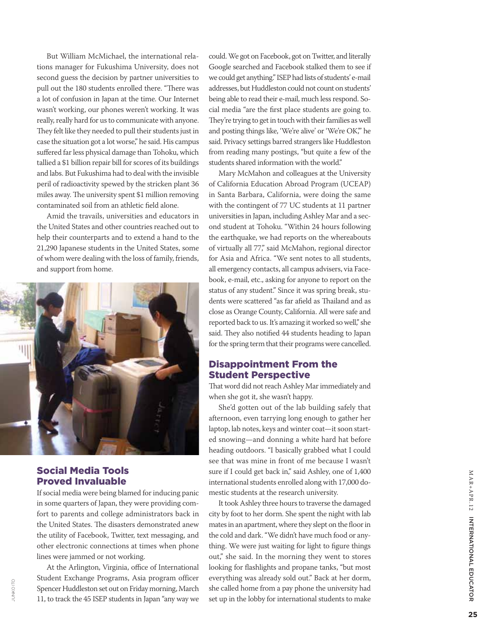But William McMichael, the international relations manager for Fukushima University, does not second guess the decision by partner universities to pull out the 180 students enrolled there. "There was a lot of confusion in Japan at the time. Our Internet wasn't working, our phones weren't working. It was really, really hard for us to communicate with anyone. They felt like they needed to pull their students just in case the situation got a lot worse," he said. His campus suffered far less physical damage than Tohoku, which tallied a \$1 billion repair bill for scores of its buildings and labs. But Fukushima had to deal with the invisible peril of radioactivity spewed by the stricken plant 36 miles away. The university spent \$1 million removing contaminated soil from an athletic field alone.

Amid the travails, universities and educators in the United States and other countries reached out to help their counterparts and to extend a hand to the 21,290 Japanese students in the United States, some of whom were dealing with the loss of family, friends, and support from home.



# Social Media Tools Proved Invaluable

junkooun o y khu

If social media were being blamed for inducing panic in some quarters of Japan, they were providing comfort to parents and college administrators back in the United States. The disasters demonstrated anew the utility of Facebook, Twitter, text messaging, and other electronic connections at times when phone lines were jammed or not working.

At the Arlington, Virginia, office of International Student Exchange Programs, Asia program officer Spencer Huddleston set out on Friday morning, March 11, to track the 45 ISEP students in Japan "any way we

could. We got on Facebook, got on Twitter, and literally Google searched and Facebook stalked them to see if we could get anything." ISEP had lists of students' e-mail addresses, but Huddleston could not count on students' being able to read their e-mail, much less respond. Social media "are the first place students are going to. They're trying to get in touch with their families as well and posting things like, 'We're alive' or 'We're OK,'" he said. Privacy settings barred strangers like Huddleston from reading many postings, "but quite a few of the students shared information with the world."

Mary McMahon and colleagues at the University of California Education Abroad Program (UCEAP) in Santa Barbara, California, were doing the same with the contingent of 77 UC students at 11 partner universities in Japan, including Ashley Mar and a second student at Tohoku. "Within 24 hours following the earthquake, we had reports on the whereabouts of virtually all 77," said McMahon, regional director for Asia and Africa. "We sent notes to all students, all emergency contacts, all campus advisers, via Facebook, e-mail, etc., asking for anyone to report on the status of any student." Since it was spring break, students were scattered "as far afield as Thailand and as close as Orange County, California. All were safe and reported back to us. It's amazing it worked so well," she said. They also notified 44 students heading to Japan for the spring term that their programs were cancelled.

## Disappointment From the Student Perspective

That word did not reach Ashley Mar immediately and when she got it, she wasn't happy.

She'd gotten out of the lab building safely that afternoon, even tarrying long enough to gather her laptop, lab notes, keys and winter coat—it soon started snowing—and donning a white hard hat before heading outdoors. "I basically grabbed what I could see that was mine in front of me because I wasn't sure if I could get back in," said Ashley, one of 1,400 international students enrolled along with 17,000 domestic students at the research university.

It took Ashley three hours to traverse the damaged city by foot to her dorm. She spent the night with lab mates in an apartment, where they slept on the floor in the cold and dark. "We didn't have much food or anything. We were just waiting for light to figure things out," she said. In the morning they went to stores looking for flashlights and propane tanks, "but most everything was already sold out." Back at her dorm, she called home from a pay phone the university had set up in the lobby for international students to make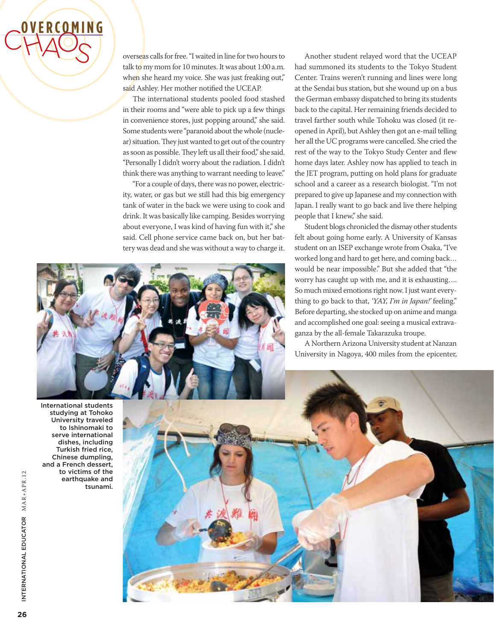

overseas calls for free. "I waited in line for two hours to talk to my mom for 10 minutes. It was about 1:00 a.m. when she heard my voice. She was just freaking out," said Ashley. Her mother notified the UCEAP.

The international students pooled food stashed in their rooms and "were able to pick up a few things in convenience stores, just popping around," she said. Some students were "paranoid about the whole (nuclear) situation. They just wanted to get out of the country as soon as possible. They left us all their food," she said. "Personally I didn't worry about the radiation. I didn't think there was anything to warrant needing to leave."

"For a couple of days, there was no power, electricity, water, or gas but we still had this big emergency tank of water in the back we were using to cook and drink. It was basically like camping. Besides worrying about everyone, I was kind of having fun with it," she said. Cell phone service came back on, but her battery was dead and she was without a way to charge it.

Another student relayed word that the UCEAP had summoned its students to the Tokyo Student Center. Trains weren't running and lines were long at the Sendai bus station, but she wound up on a bus the German embassy dispatched to bring its students back to the capital. Her remaining friends decided to travel farther south while Tohoku was closed (it reopened in April), but Ashley then got an e-mail telling her all the UC programs were cancelled. She cried the rest of the way to the Tokyo Study Center and flew home days later. Ashley now has applied to teach in the JET program, putting on hold plans for graduate school and a career as a research biologist. "I'm not prepared to give up Japanese and my connection with Japan. I really want to go back and live there helping people that I knew," she said.

Student blogs chronicled the dismay other students felt about going home early. A University of Kansas student on an ISEP exchange wrote from Osaka, "I've worked long and hard to get here, and coming back… would be near impossible." But she added that "the worry has caught up with me, and it is exhausting…. So much mixed emotions right now. I just want everything to go back to that, *'YAY, I'm in Japan!'* feeling." Before departing, she stocked up on anime and manga and accomplished one goal: seeing a musical extravaganza by the all-female Takarazuka troupe.

A Northern Arizona University student at Nanzan University in Nagoya, 400 miles from the epicenter,

International students studying at Tohoko University traveled to Ishinomaki to serve international dishes, including Turkish fried rice, Chinese dumpling, and a French dessert, to victims of the earthquake and tsunami.

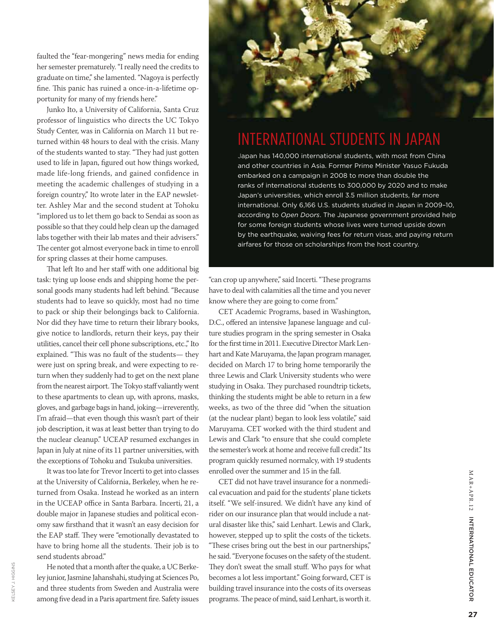faulted the "fear-mongering" news media for ending her semester prematurely. "I really need the credits to graduate on time," she lamented. "Nagoya is perfectly fine. This panic has ruined a once-in-a-lifetime opportunity for many of my friends here."

Junko Ito, a University of California, Santa Cruz professor of linguistics who directs the UC Tokyo Study Center, was in California on March 11 but returned within 48 hours to deal with the crisis. Many of the students wanted to stay. "They had just gotten used to life in Japan, figured out how things worked, made life-long friends, and gained confidence in meeting the academic challenges of studying in a foreign country," Ito wrote later in the EAP newsletter. Ashley Mar and the second student at Tohoku "implored us to let them go back to Sendai as soon as possible so that they could help clean up the damaged labs together with their lab mates and their advisers." The center got almost everyone back in time to enroll for spring classes at their home campuses.

That left Ito and her staff with one additional big task: tying up loose ends and shipping home the personal goods many students had left behind. "Because students had to leave so quickly, most had no time to pack or ship their belongings back to California. Nor did they have time to return their library books, give notice to landlords, return their keys, pay their utilities, cancel their cell phone subscriptions, etc.," Ito explained. "This was no fault of the students— they were just on spring break, and were expecting to return when they suddenly had to get on the next plane from the nearest airport. The Tokyo staff valiantly went to these apartments to clean up, with aprons, masks, gloves, and garbage bags in hand, joking—irreverently, I'm afraid—that even though this wasn't part of their job description, it was at least better than trying to do the nuclear cleanup." UCEAP resumed exchanges in Japan in July at nine of its 11 partner universities, with the exceptions of Tohoku and Tsukuba universities.

It was too late for Trevor Incerti to get into classes at the University of California, Berkeley, when he returned from Osaka. Instead he worked as an intern in the UCEAP office in Santa Barbara. Incerti, 21, a double major in Japanese studies and political economy saw firsthand that it wasn't an easy decision for the EAP staff. They were "emotionally devastated to have to bring home all the students. Their job is to send students abroad."

He noted that a month after the quake, a UC Berkeley junior, Jasmine Jahanshahi, studying at Sciences Po, and three students from Sweden and Australia were among five dead in a Paris apartment fire. Safety issues

Kelsey J. Higgins

**ELSEY J. HIGGINS** 



# INTERNATIONAL STUDENTS IN JAPAN

Japan has 140,000 international students, with most from China and other countries in Asia. Former Prime Minister Yasuo Fukuda embarked on a campaign in 2008 to more than double the ranks of international students to 300,000 by 2020 and to make Japan's universities, which enroll 3.5 million students, far more international. Only 6,166 U.S. students studied in Japan in 2009–10, according to *Open Doors*. The Japanese government provided help for some foreign students whose lives were turned upside down by the earthquake, waiving fees for return visas, and paying return airfares for those on scholarships from the host country.

"can crop up anywhere," said Incerti. "These programs have to deal with calamities all the time and you never know where they are going to come from."

CET Academic Programs, based in Washington, D.C., offered an intensive Japanese language and culture studies program in the spring semester in Osaka for the first time in 2011. Executive Director Mark Lenhart and Kate Maruyama, the Japan program manager, decided on March 17 to bring home temporarily the three Lewis and Clark University students who were studying in Osaka. They purchased roundtrip tickets, thinking the students might be able to return in a few weeks, as two of the three did "when the situation (at the nuclear plant) began to look less volatile," said Maruyama. CET worked with the third student and Lewis and Clark "to ensure that she could complete the semester's work at home and receive full credit." Its program quickly resumed normalcy, with 19 students enrolled over the summer and 15 in the fall.

CET did not have travel insurance for a nonmedical evacuation and paid for the students' plane tickets itself. "We self-insured. We didn't have any kind of rider on our insurance plan that would include a natural disaster like this," said Lenhart. Lewis and Clark, however, stepped up to split the costs of the tickets. "These crises bring out the best in our partnerships," he said. "Everyone focuses on the safety of the student. They don't sweat the small stuff. Who pays for what becomes a lot less important." Going forward, CET is building travel insurance into the costs of its overseas programs. The peace of mind, said Lenhart, is worth it.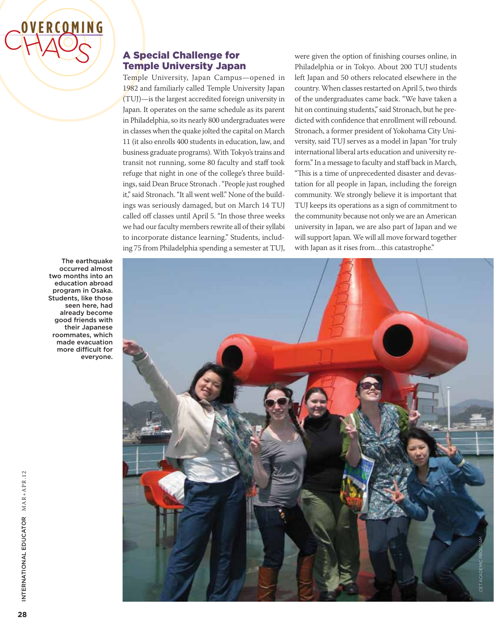

# A Special Challenge for Temple University Japan

Temple University, Japan Campus—opened in 1982 and familiarly called Temple University Japan (TUJ)—is the largest accredited foreign university in Japan. It operates on the same schedule as its parent in Philadelphia, so its nearly 800 undergraduates were in classes when the quake jolted the capital on March 11 (it also enrolls 400 students in education, law, and business graduate programs). With Tokyo's trains and transit not running, some 80 faculty and staff took refuge that night in one of the college's three buildings, said Dean Bruce Stronach . "People just roughed it," said Stronach. "It all went well." None of the buildings was seriously damaged, but on March 14 TUJ called off classes until April 5. "In those three weeks we had our faculty members rewrite all of their syllabi to incorporate distance learning." Students, including 75 from Philadelphia spending a semester at TUJ,

were given the option of finishing courses online, in Philadelphia or in Tokyo. About 200 TUJ students left Japan and 50 others relocated elsewhere in the country. When classes restarted on April 5, two thirds of the undergraduates came back. "We have taken a hit on continuing students," said Stronach, but he predicted with confidence that enrollment will rebound. Stronach, a former president of Yokohama City University, said TUJ serves as a model in Japan "for truly international liberal arts education and university reform." In a message to faculty and staff back in March, "This is a time of unprecedented disaster and devastation for all people in Japan, including the foreign community. We strongly believe it is important that TUJ keeps its operations as a sign of commitment to the community because not only we are an American university in Japan, we are also part of Japan and we will support Japan. We will all move forward together with Japan as it rises from…this catastrophe."



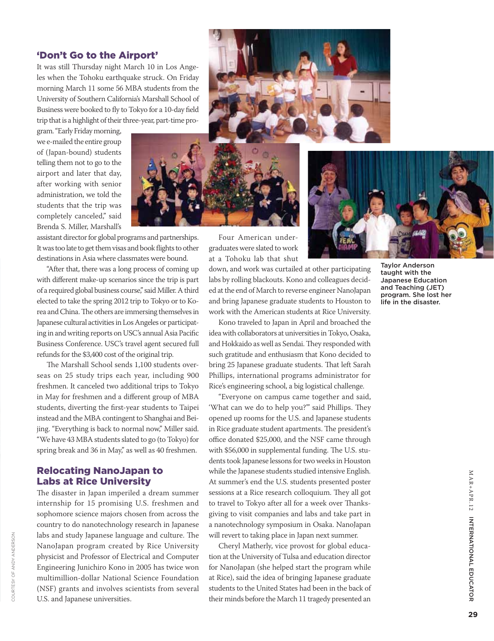#### 'Don't Go to the Airport'

It was still Thursday night March 10 in Los Angeles when the Tohoku earthquake struck. On Friday morning March 11 some 56 MBA students from the University of Southern California's Marshall School of Business were booked to fly to Tokyo for a 10-day field trip that is a highlight of their three-year, part-time pro-

gram. "Early Friday morning, we e-mailed the entire group of (Japan-bound) students telling them not to go to the airport and later that day, after working with senior administration, we told the students that the trip was completely canceled," said Brenda S. Miller, Marshall's



assistant director for global programs and partnerships. It was too late to get them visas and book flights to other destinations in Asia where classmates were bound.

"After that, there was a long process of coming up with different make-up scenarios since the trip is part of a required global business course," said Miller. A third elected to take the spring 2012 trip to Tokyo or to Korea and China. The others are immersing themselves in Japanese cultural activities in Los Angeles or participating in and writing reports on USC's annual Asia Pacific Business Conference. USC's travel agent secured full refunds for the \$3,400 cost of the original trip.

The Marshall School sends 1,100 students overseas on 25 study trips each year, including 900 freshmen. It canceled two additional trips to Tokyo in May for freshmen and a different group of MBA students, diverting the first-year students to Taipei instead and the MBA contingent to Shanghai and Beijing. "Everything is back to normal now," Miller said. "We have 43 MBA students slated to go (to Tokyo) for spring break and 36 in May," as well as 40 freshmen.

## Relocating NanoJapan to Labs at Rice University

The disaster in Japan imperiled a dream summer internship for 15 promising U.S. freshmen and sophomore science majors chosen from across the country to do nanotechnology research in Japanese labs and study Japanese language and culture. The NanoJapan program created by Rice University physicist and Professor of Electrical and Computer Engineering Junichiro Kono in 2005 has twice won multimillion-dollar National Science Foundation (NSF) grants and involves scientists from several U.S. and Japanese universities.



down, and work was curtailed at other participating labs by rolling blackouts. Kono and colleagues decided at the end of March to reverse engineer NanoJapan and bring Japanese graduate students to Houston to work with the American students at Rice University.

Kono traveled to Japan in April and broached the idea with collaborators at universities in Tokyo, Osaka, and Hokkaido as well as Sendai. They responded with such gratitude and enthusiasm that Kono decided to bring 25 Japanese graduate students. That left Sarah Phillips, international programs administrator for Rice's engineering school, a big logistical challenge.

"Everyone on campus came together and said, 'What can we do to help you?'" said Phillips. They opened up rooms for the U.S. and Japanese students in Rice graduate student apartments. The president's office donated \$25,000, and the NSF came through with \$56,000 in supplemental funding. The U.S. students took Japanese lessons for two weeks in Houston while the Japanese students studied intensive English. At summer's end the U.S. students presented poster sessions at a Rice research colloquium. They all got to travel to Tokyo after all for a week over Thanksgiving to visit companies and labs and take part in a nanotechnology symposium in Osaka. NanoJapan will revert to taking place in Japan next summer.

Cheryl Matherly, vice provost for global education at the University of Tulsa and education director for NanoJapan (she helped start the program while at Rice), said the idea of bringing Japanese graduate students to the United States had been in the back of their minds before the March 11 tragedy presented an

Taylor Anderson taught with the Japanese Education and Teaching (JET) program. She lost her life in the disaster.

International Educator

MAR+APR.I2 INTERNATIONAL EDUCATOR

MAR+APR.12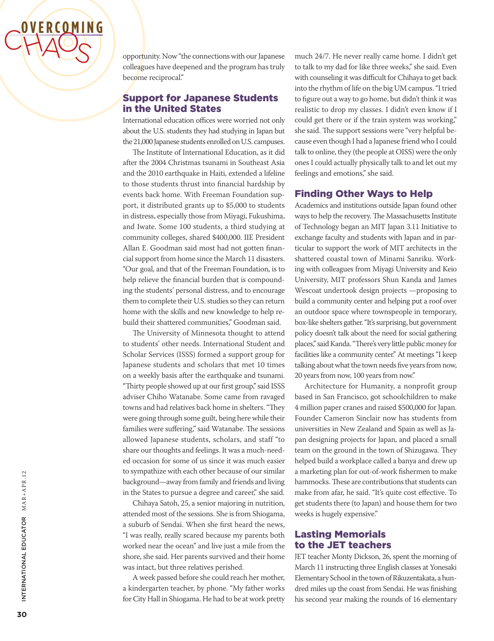

opportunity. Now "the connections with our Japanese colleagues have deepened and the program has truly become reciprocal."

# Support for Japanese Students in the United States

International education offices were worried not only about the U.S. students they had studying in Japan but the 21,000 Japanese students enrolled on U.S. campuses.

The Institute of International Education, as it did after the 2004 Christmas tsunami in Southeast Asia and the 2010 earthquake in Haiti, extended a lifeline to those students thrust into financial hardship by events back home. With Freeman Foundation support, it distributed grants up to \$5,000 to students in distress, especially those from Miyagi, Fukushima, and Iwate. Some 100 students, a third studying at community colleges, shared \$400,000. IIE President Allan E. Goodman said most had not gotten financial support from home since the March 11 disasters. "Our goal, and that of the Freeman Foundation, is to help relieve the financial burden that is compounding the students' personal distress, and to encourage them to complete their U.S. studies so they can return home with the skills and new knowledge to help rebuild their shattered communities," Goodman said.

The University of Minnesota thought to attend to students' other needs. International Student and Scholar Services (ISSS) formed a support group for Japanese students and scholars that met 10 times on a weekly basis after the earthquake and tsunami. "Thirty people showed up at our first group," said ISSS adviser Chiho Watanabe. Some came from ravaged towns and had relatives back home in shelters. "They were going through some guilt, being here while their families were suffering," said Watanabe. The sessions allowed Japanese students, scholars, and staff "to share our thoughts and feelings. It was a much-needed occasion for some of us since it was much easier to sympathize with each other because of our similar background—away from family and friends and living in the States to pursue a degree and career," she said.

Chihaya Satoh, 25, a senior majoring in nutrition, attended most of the sessions. She is from Shiogama, a suburb of Sendai. When she first heard the news, "I was really, really scared because my parents both worked near the ocean" and live just a mile from the shore, she said. Her parents survived and their home was intact, but three relatives perished.

A week passed before she could reach her mother, a kindergarten teacher, by phone. "My father works for City Hall in Shiogama. He had to be at work pretty much 24/7. He never really came home. I didn't get to talk to my dad for like three weeks," she said. Even with counseling it was difficult for Chihaya to get back into the rhythm of life on the big UM campus. "I tried to figure out a way to go home, but didn't think it was realistic to drop my classes. I didn't even know if I could get there or if the train system was working," she said. The support sessions were "very helpful because even though I had a Japanese friend who I could talk to online, they (the people at OISS) were the only ones I could actually physically talk to and let out my feelings and emotions," she said.

#### Finding Other Ways to Help

Academics and institutions outside Japan found other ways to help the recovery. The Massachusetts Institute of Technology began an MIT Japan 3.11 Initiative to exchange faculty and students with Japan and in particular to support the work of MIT architects in the shattered coastal town of Minami Sanriku. Working with colleagues from Miyagi University and Keio University, MIT professors Shun Kanda and James Wescoat undertook design projects —proposing to build a community center and helping put a roof over an outdoor space where townspeople in temporary, box-like shelters gather. "It's surprising, but government policy doesn't talk about the need for social gathering places," said Kanda. "There's very little public money for facilities like a community center." At meetings "I keep talking about what the town needs five years from now, 20 years from now, 100 years from now."

Architecture for Humanity, a nonprofit group based in San Francisco, got schoolchildren to make 4 million paper cranes and raised \$500,000 for Japan. Founder Cameron Sinclair now has students from universities in New Zealand and Spain as well as Japan designing projects for Japan, and placed a small team on the ground in the town of Shizugawa. They helped build a workplace called a banya and drew up a marketing plan for out-of-work fishermen to make hammocks. These are contributions that students can make from afar, he said. "It's quite cost effective. To get students there (to Japan) and house them for two weeks is hugely expensive." pan designing projects for Japan, and placed a small<br>team on the ground in the town of Shizugawa. They<br>helped build a workplace called a banya and drew up<br>a marketing plan for out-of-work fishermen to make<br>hammocks. These

# Lasting Memorials to the JET teachers

JET teacher Monty Dickson, 26, spent the morning of March 11 instructing three English classes at Yonesaki Elementary School in the town of Rikuzentakata, a hundred miles up the coast from Sendai. He was finishing